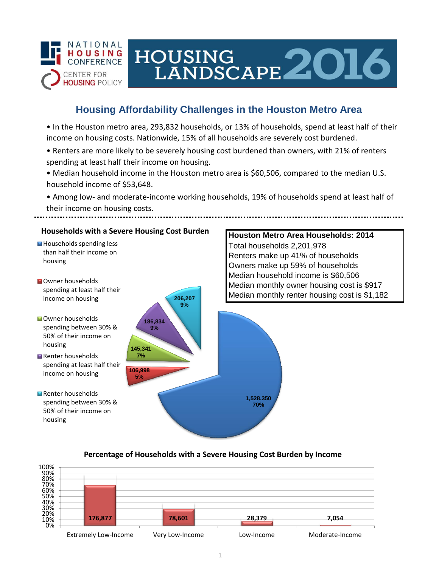

# HOUSING<br>LANDSCAPE 2016

## **Housing Affordability Challenges in the Houston Metro Area**

• In the Houston metro area, 293,832 households, or 13% of households, spend at least half of their income on housing costs. Nationwide, 15% of all households are severely cost burdened.

- Renters are more likely to be severely housing cost burdened than owners, with 21% of renters spending at least half their income on housing.
- Median household income in the Houston metro area is \$60,506, compared to the median U.S. household income of \$53,648.

• Among low- and moderate-income working households, 19% of households spend at least half of their income on housing costs.

## **Households with a Severe Housing Cost Burden**

- Households spending less than half their income on housing
- **N**Owner households spending at least half their income on housing
- **Owner households** spending between 30% & 50% of their income on housing
- Renter households spending at least half their income on housing
- Renter households spending between 30% & 50% of their income on housing



## **Houston Metro Area Households: 2014** Total households 2,201,978 Renters make up 41% of households Owners make up 59% of households Median household income is \$60,506 Median monthly owner housing cost is \$917 Median monthly renter housing cost is \$1,182

## **Percentage of Households with a Severe Housing Cost Burden by Income**